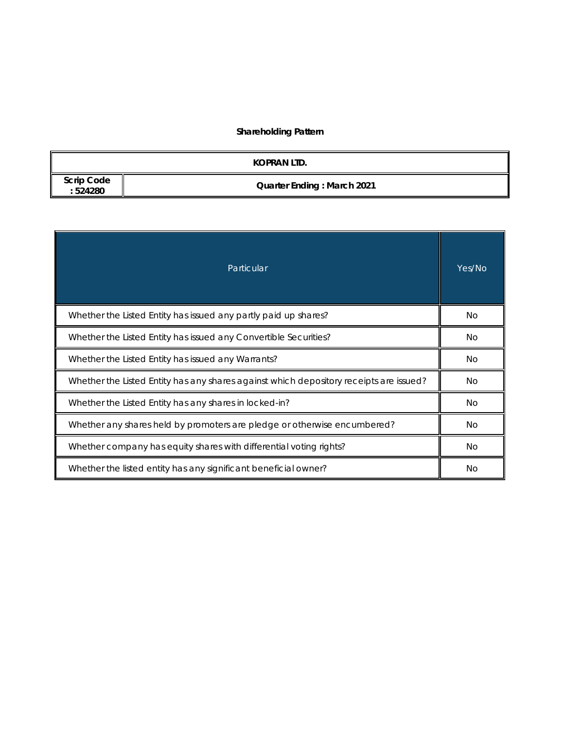# **Shareholding Pattern**

|                              | KOPRAN LTD.                       |
|------------------------------|-----------------------------------|
| <b>Scrip Code</b><br>:524280 | <b>Quarter Ending: March 2021</b> |

| Particular                                                                             |     |  |  |  |  |
|----------------------------------------------------------------------------------------|-----|--|--|--|--|
| Whether the Listed Entity has issued any partly paid up shares?                        | No. |  |  |  |  |
| Whether the Listed Entity has issued any Convertible Securities?                       | No. |  |  |  |  |
| Whether the Listed Entity has issued any Warrants?                                     |     |  |  |  |  |
| Whether the Listed Entity has any shares against which depository receipts are issued? |     |  |  |  |  |
| Whether the Listed Entity has any shares in locked-in?                                 |     |  |  |  |  |
| Whether any shares held by promoters are pledge or otherwise encumbered?               |     |  |  |  |  |
| Whether company has equity shares with differential voting rights?                     | No. |  |  |  |  |
| Whether the listed entity has any significant beneficial owner?                        | No. |  |  |  |  |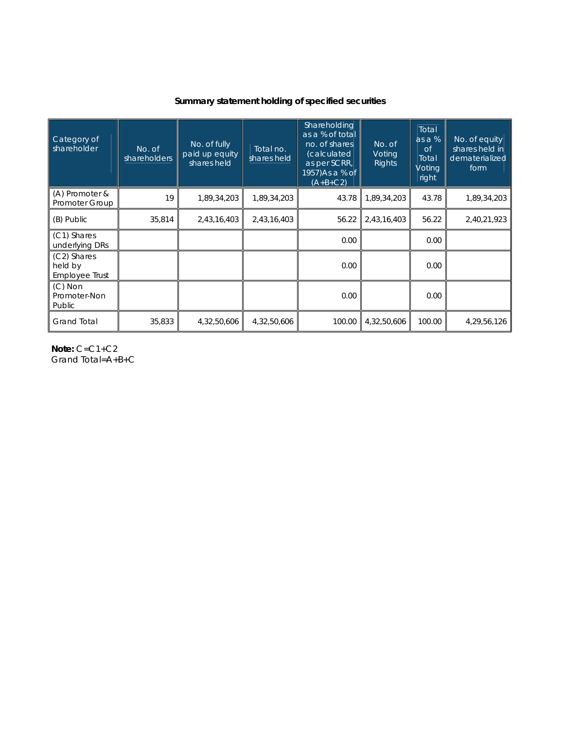## **Summary statement holding of specified securities**

| Category of<br>shareholder               | No. of<br>shareholders | No. of fully<br>paid up equity<br>shares held | Total no.<br>shares held | Shareholding<br>as a % of total<br>no. of shares<br>(calculated<br>as per SCRR.<br>1957)As a % of<br>$(A+B+C2)$ | No. of<br>Voting<br><b>Rights</b> | <b>Total</b><br>as a $%$<br>$\circ$ f<br>Total<br>Voting<br>right | No. of equity<br>shares held in<br>dematerialized<br>form |
|------------------------------------------|------------------------|-----------------------------------------------|--------------------------|-----------------------------------------------------------------------------------------------------------------|-----------------------------------|-------------------------------------------------------------------|-----------------------------------------------------------|
| (A) Promoter &<br>Promoter Group         | 19                     | 1,89,34,203                                   | 1,89,34,203              | 43.78                                                                                                           | 1,89,34,203                       | 43.78                                                             | 1,89,34,203                                               |
| (B) Public                               | 35,814                 | 2,43,16,403                                   | 2,43,16,403              | 56.22                                                                                                           | 2,43,16,403                       | 56.22                                                             | 2,40,21,923                                               |
| (C1) Shares<br>underlying DRs            |                        |                                               |                          | 0.00                                                                                                            |                                   | 0.00                                                              |                                                           |
| (C2) Shares<br>held by<br>Employee Trust |                        |                                               |                          | 0.00                                                                                                            |                                   | 0.00                                                              |                                                           |
| $(C)$ Non<br>Promoter-Non<br>Public      |                        |                                               |                          | 0.00                                                                                                            |                                   | 0.00                                                              |                                                           |
| <b>Grand Total</b>                       | 35,833                 | 4,32,50,606                                   | 4,32,50,606              | 100.00                                                                                                          | 4,32,50,606                       | 100.00                                                            | 4,29,56,126                                               |

**Note:** C=C1+C2 Grand Total=A+B+C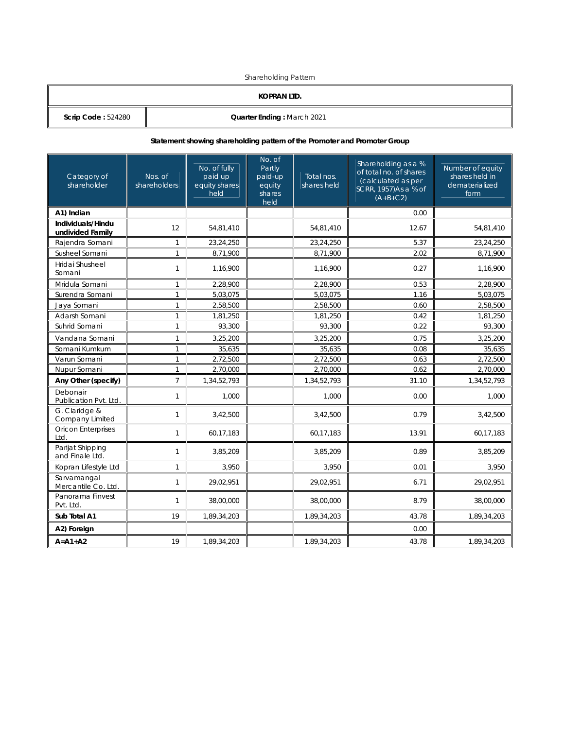Shareholding Pattern

| KOPRAN LTD.          |                            |  |  |  |
|----------------------|----------------------------|--|--|--|
| Scrip Code: $524280$ | Quarter Ending: March 2021 |  |  |  |

## **Statement showing shareholding pattern of the Promoter and Promoter Group**

| Category of<br>shareholder            | Nos. of<br>shareholders | No. of fully<br>paid up<br>equity shares<br>held | No. of<br>Partly<br>paid-up<br>equity<br>shares<br>held | Total nos.<br>shares held | Shareholding as a %<br>of total no. of shares<br>(calculated as per<br>SCRR, 1957)As a % of<br>$(A+B+C2)$ | Number of equity<br>shares held in<br>dematerialized<br>form |
|---------------------------------------|-------------------------|--------------------------------------------------|---------------------------------------------------------|---------------------------|-----------------------------------------------------------------------------------------------------------|--------------------------------------------------------------|
| A1) Indian                            |                         |                                                  |                                                         |                           | 0.00                                                                                                      |                                                              |
| Individuals/Hindu<br>undivided Family | 12                      | 54,81,410                                        |                                                         | 54,81,410                 | 12.67                                                                                                     | 54,81,410                                                    |
| Rajendra Somani                       | $\mathbf{1}$            | 23,24,250                                        |                                                         | 23,24,250                 | 5.37                                                                                                      | 23,24,250                                                    |
| Susheel Somani                        | $\mathbf{1}$            | 8,71,900                                         |                                                         | 8,71,900                  | 2.02                                                                                                      | 8,71,900                                                     |
| Hridai Shusheel<br>Somani             | $\mathbf{1}$            | 1,16,900                                         |                                                         | 1,16,900                  | 0.27                                                                                                      | 1,16,900                                                     |
| Mridula Somani                        | $\mathbf{1}$            | 2,28,900                                         |                                                         | 2,28,900                  | 0.53                                                                                                      | 2,28,900                                                     |
| Surendra Somani                       | $\mathbf{1}$            | 5.03.075                                         |                                                         | 5,03,075                  | 1.16                                                                                                      | 5,03,075                                                     |
| Jaya Somani                           | $\mathbf{1}$            | 2,58,500                                         |                                                         | 2,58,500                  | 0.60                                                                                                      | 2,58,500                                                     |
| Adarsh Somani                         | $\mathbf{1}$            | 1,81,250                                         |                                                         | 1,81,250                  | 0.42                                                                                                      | 1,81,250                                                     |
| Suhrid Somani                         | $\mathbf{1}$            | 93,300                                           |                                                         | 0.22<br>93,300            |                                                                                                           | 93,300                                                       |
| Vandana Somani                        | 1                       | 3,25,200                                         |                                                         | 3,25,200                  | 0.75                                                                                                      | 3,25,200                                                     |
| Somani Kumkum                         | 1                       | 35,635                                           |                                                         | 35,635                    | 0.08                                                                                                      | 35,635                                                       |
| Varun Somani                          | $\mathbf{1}$            | 2,72,500                                         |                                                         | 2,72,500                  | 0.63                                                                                                      | 2,72,500                                                     |
| Nupur Somani                          | $\mathbf{1}$            | 2,70,000                                         |                                                         | 2,70,000                  | 0.62                                                                                                      | 2,70,000                                                     |
| Any Other (specify)                   | $\overline{7}$          | 1,34,52,793                                      |                                                         | 1,34,52,793               | 31.10                                                                                                     | 1,34,52,793                                                  |
| Debonair<br>Publication Pvt. Ltd.     | $\mathbf{1}$            | 1,000                                            |                                                         | 1,000                     | 0.00                                                                                                      | 1,000                                                        |
| G. Claridge &<br>Company Limited      | $\mathbf{1}$            | 3,42,500                                         |                                                         | 3,42,500                  | 0.79                                                                                                      | 3,42,500                                                     |
| <b>Oricon Enterprises</b><br>Ltd.     | $\mathbf{1}$            | 60,17,183                                        |                                                         | 60,17,183                 | 13.91                                                                                                     | 60,17,183                                                    |
| Parijat Shipping<br>and Finale Ltd.   | $\mathbf{1}$            | 3,85,209                                         |                                                         | 3,85,209                  | 0.89                                                                                                      | 3,85,209                                                     |
| Kopran Lifestyle Ltd                  | $\mathbf{1}$            | 3,950                                            |                                                         | 3,950                     | 0.01                                                                                                      | 3,950                                                        |
| Sarvamangal<br>Mercantile Co. Ltd.    | $\mathbf{1}$            | 29,02,951                                        |                                                         | 29,02,951                 | 6.71                                                                                                      | 29,02,951                                                    |
| Panorama Finvest<br>Pvt. Ltd.         | $\mathbf{1}$            | 38,00,000                                        |                                                         | 38,00,000                 | 8.79                                                                                                      | 38,00,000                                                    |
| Sub Total A1                          | 19                      | 1,89,34,203                                      |                                                         | 1,89,34,203               | 43.78                                                                                                     | 1,89,34,203                                                  |
| A2) Foreign                           |                         |                                                  |                                                         |                           | 0.00                                                                                                      |                                                              |
| $A = A1 + A2$                         | 19                      | 1,89,34,203                                      |                                                         | 1,89,34,203               | 43.78                                                                                                     | 1,89,34,203                                                  |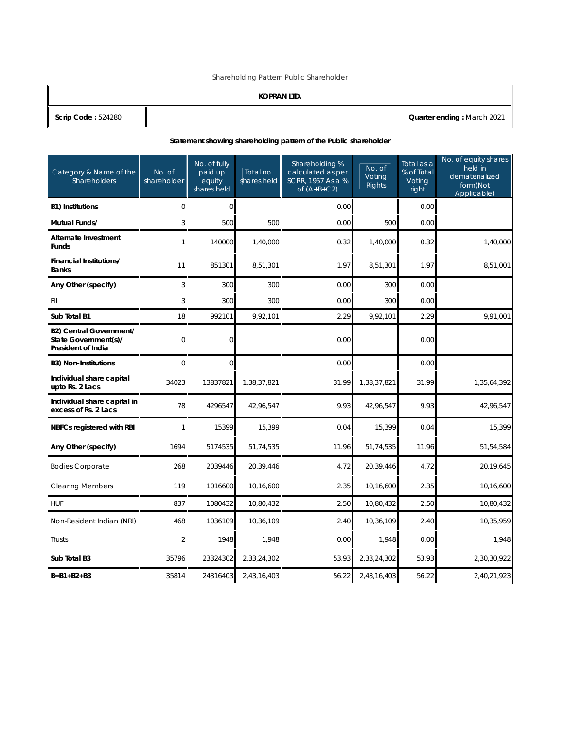Shareholding Pattern Public Shareholder

|  | (OPRAN LTD |  |
|--|------------|--|
|  |            |  |

K **Scrip Code :** 524280 **Quarter ending :** March 2021

## **Statement showing shareholding pattern of the Public shareholder**

| Category & Name of the<br>Shareholders                                       | No. of<br>shareholder | No. of fully<br>paid up<br>equity<br>shares held | Total no.<br>shares held | Shareholding %<br>No. of<br>calculated as per<br>Voting<br>SCRR, 1957 As a %<br>Rights<br>of $(A+B+C2)$ |             | Total as a<br>% of Total<br>Voting<br>right | No. of equity shares<br>held in<br>dematerialized<br>form(Not<br>Applicable) |
|------------------------------------------------------------------------------|-----------------------|--------------------------------------------------|--------------------------|---------------------------------------------------------------------------------------------------------|-------------|---------------------------------------------|------------------------------------------------------------------------------|
| <b>B1) Institutions</b>                                                      | $\Omega$              | $\Omega$                                         |                          | 0.00                                                                                                    |             | 0.00                                        |                                                                              |
| Mutual Funds/                                                                | 3                     | 500                                              | 500                      | 0.00                                                                                                    | 500         | 0.00                                        |                                                                              |
| <b>Alternate Investment</b><br><b>Funds</b>                                  | $\mathbf{1}$          | 140000                                           | 1,40,000                 | 0.32                                                                                                    | 1,40,000    | 0.32                                        | 1,40,000                                                                     |
| <b>Financial Institutions/</b><br><b>Banks</b>                               | 11                    | 851301                                           | 8,51,301                 | 1.97                                                                                                    | 8,51,301    | 1.97                                        | 8,51,001                                                                     |
| Any Other (specify)                                                          | 3                     | 300                                              | 300                      | 0.00                                                                                                    | 300         | 0.00                                        |                                                                              |
| FII                                                                          | 3                     | 300                                              | 300                      | 0.00                                                                                                    | 300         | 0.00                                        |                                                                              |
| Sub Total B1                                                                 | 18                    | 992101                                           | 9,92,101                 | 2.29                                                                                                    | 9,92,101    | 2.29                                        | 9,91,001                                                                     |
| <b>B2) Central Government/</b><br>State Government(s)/<br>President of India | 0                     | $\overline{O}$                                   |                          | 0.00                                                                                                    |             | 0.00                                        |                                                                              |
| <b>B3) Non-Institutions</b>                                                  | 0                     | $\overline{0}$                                   |                          | 0.00                                                                                                    |             | 0.00                                        |                                                                              |
| Individual share capital<br>upto Rs. 2 Lacs                                  | 34023                 | 13837821                                         | 1,38,37,821              | 31.99                                                                                                   | 1,38,37,821 | 31.99                                       | 1,35,64,392                                                                  |
| Individual share capital in<br>excess of Rs. 2 Lacs                          | 78                    | 4296547                                          | 42,96,547                | 9.93                                                                                                    | 42,96,547   | 9.93                                        | 42,96,547                                                                    |
| NBFCs registered with RBI                                                    | 1                     | 15399                                            | 15.399                   | 0.04                                                                                                    | 15.399      | 0.04                                        | 15,399                                                                       |
| Any Other (specify)                                                          | 1694                  | 5174535                                          | 51,74,535                | 11.96                                                                                                   | 51,74,535   | 11.96                                       | 51,54,584                                                                    |
| <b>Bodies Corporate</b>                                                      | 268                   | 2039446                                          | 20,39,446                | 4.72                                                                                                    | 20,39,446   | 4.72                                        | 20,19,645                                                                    |
| <b>Clearing Members</b>                                                      | 119                   | 1016600                                          | 10,16,600                | 2.35                                                                                                    | 10,16,600   | 2.35                                        | 10,16,600                                                                    |
| <b>HUF</b>                                                                   | 837                   | 1080432                                          | 10,80,432                | 2.50                                                                                                    | 10,80,432   | 2.50                                        | 10,80,432                                                                    |
| Non-Resident Indian (NRI)                                                    | 468                   | 1036109                                          | 10,36,109                | 2.40                                                                                                    | 10,36,109   | 2.40                                        | 10,35,959                                                                    |
| Trusts                                                                       | $\overline{2}$        | 1948                                             | 1,948                    | 0.00                                                                                                    | 1,948       | 0.00                                        | 1,948                                                                        |
| Sub Total B3                                                                 | 35796                 | 23324302                                         | 2,33,24,302              | 53.93                                                                                                   | 2,33,24,302 | 53.93                                       | 2,30,30,922                                                                  |
| $B = B1 + B2 + B3$                                                           | 35814                 | 24316403                                         | 2,43,16,403              | 56.22                                                                                                   | 2,43,16,403 | 56.22                                       | 2,40,21,923                                                                  |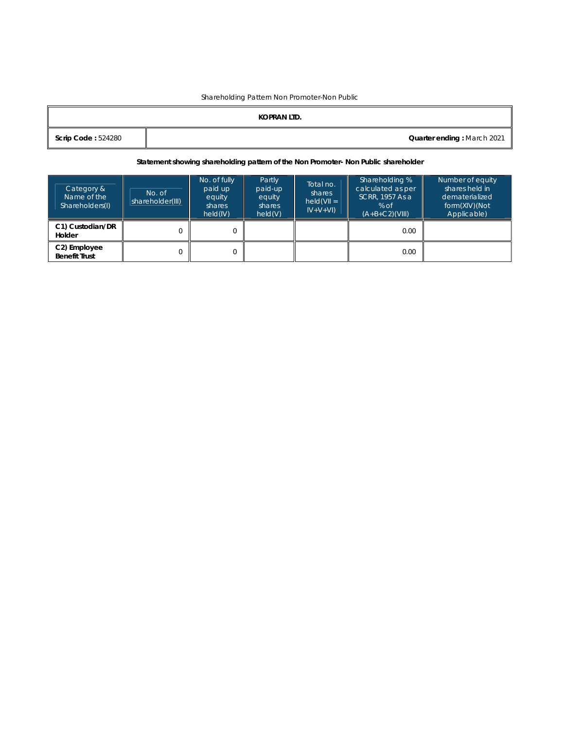#### Shareholding Pattern Non Promoter-Non Public

|                           | KOPRAN LTD. |                            |
|---------------------------|-------------|----------------------------|
| <b>Scrip Code: 524280</b> |             | Quarter ending: March 2021 |

#### **Statement showing shareholding pattern of the Non Promoter- Non Public shareholder**

| Category &<br>Name of the<br>Shareholders(I) | No. of<br>shareholder(III) | No. of fully<br>paid up<br>equity<br>shares<br>held(IV) | Partly<br>paid-up<br>equity<br>shares<br>held(V) | Total no.<br>shares<br>$held(VII =$<br>$ V+V+V $ | Shareholding %<br>calculated as per<br>SCRR, 1957 As a<br>% of<br>$(A+B+C2)(VIII)$ | Number of equity<br>shares held in<br>dematerialized<br>form(XIV)(Not<br>Applicable) |
|----------------------------------------------|----------------------------|---------------------------------------------------------|--------------------------------------------------|--------------------------------------------------|------------------------------------------------------------------------------------|--------------------------------------------------------------------------------------|
| C1) Custodian/DR<br>Holder                   |                            | 0                                                       |                                                  |                                                  | 0.00                                                                               |                                                                                      |
| C2) Employee<br><b>Benefit Trust</b>         |                            | 0                                                       |                                                  |                                                  | 0.00                                                                               |                                                                                      |